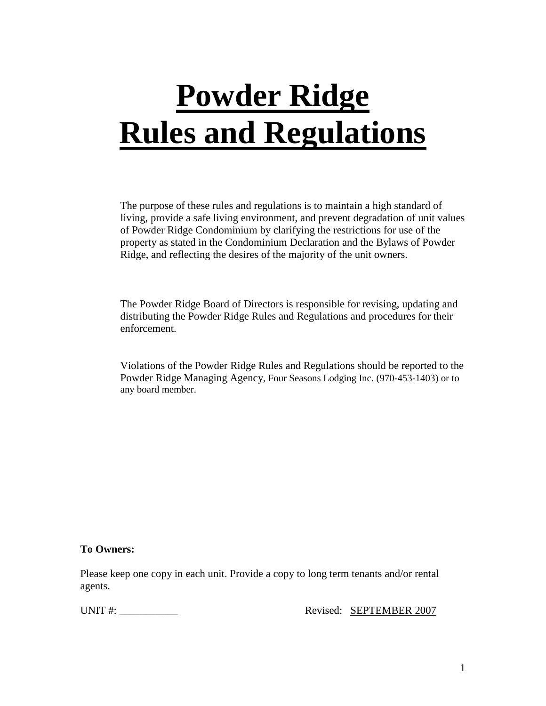# **Powder Ridge Rules and Regulations**

The purpose of these rules and regulations is to maintain a high standard of living, provide a safe living environment, and prevent degradation of unit values of Powder Ridge Condominium by clarifying the restrictions for use of the property as stated in the Condominium Declaration and the Bylaws of Powder Ridge, and reflecting the desires of the majority of the unit owners.

The Powder Ridge Board of Directors is responsible for revising, updating and distributing the Powder Ridge Rules and Regulations and procedures for their enforcement.

Violations of the Powder Ridge Rules and Regulations should be reported to the Powder Ridge Managing Agency, Four Seasons Lodging Inc. (970-453-1403) or to any board member.

## **To Owners:**

Please keep one copy in each unit. Provide a copy to long term tenants and/or rental agents.

UNIT #: \_\_\_\_\_\_\_\_\_\_\_ Revised: SEPTEMBER 2007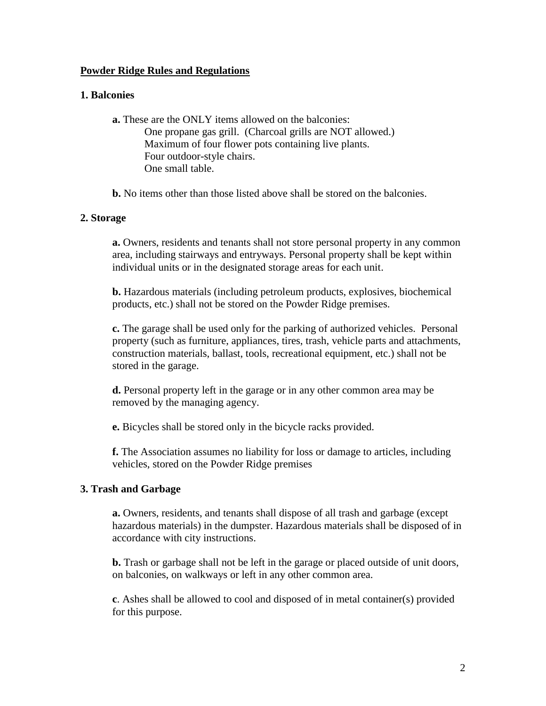## **Powder Ridge Rules and Regulations**

## **1. Balconies**

**a.** These are the ONLY items allowed on the balconies: One propane gas grill. (Charcoal grills are NOT allowed.) Maximum of four flower pots containing live plants. Four outdoor-style chairs. One small table.

**b.** No items other than those listed above shall be stored on the balconies.

# **2. Storage**

**a.** Owners, residents and tenants shall not store personal property in any common area, including stairways and entryways. Personal property shall be kept within individual units or in the designated storage areas for each unit.

**b.** Hazardous materials (including petroleum products, explosives, biochemical products, etc.) shall not be stored on the Powder Ridge premises.

**c.** The garage shall be used only for the parking of authorized vehicles. Personal property (such as furniture, appliances, tires, trash, vehicle parts and attachments, construction materials, ballast, tools, recreational equipment, etc.) shall not be stored in the garage.

**d.** Personal property left in the garage or in any other common area may be removed by the managing agency.

**e.** Bicycles shall be stored only in the bicycle racks provided.

**f.** The Association assumes no liability for loss or damage to articles, including vehicles, stored on the Powder Ridge premises

## **3. Trash and Garbage**

**a.** Owners, residents, and tenants shall dispose of all trash and garbage (except hazardous materials) in the dumpster. Hazardous materials shall be disposed of in accordance with city instructions.

**b.** Trash or garbage shall not be left in the garage or placed outside of unit doors, on balconies, on walkways or left in any other common area.

**c**. Ashes shall be allowed to cool and disposed of in metal container(s) provided for this purpose.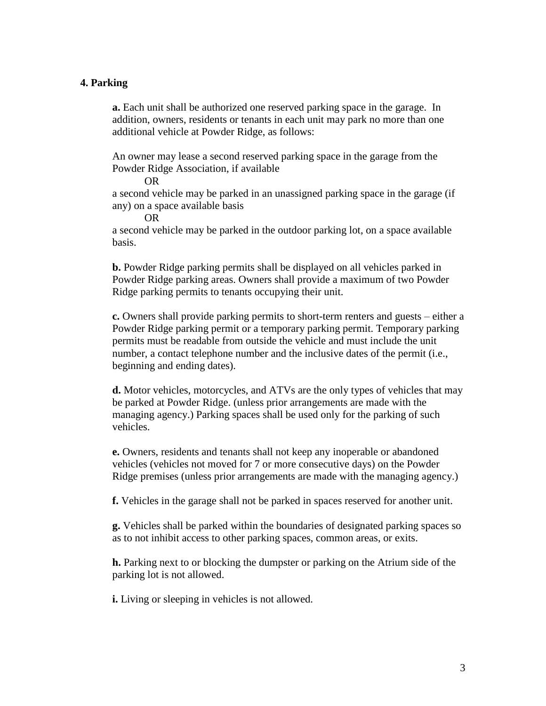#### **4. Parking**

**a.** Each unit shall be authorized one reserved parking space in the garage. In addition, owners, residents or tenants in each unit may park no more than one additional vehicle at Powder Ridge, as follows:

An owner may lease a second reserved parking space in the garage from the Powder Ridge Association, if available

OR

a second vehicle may be parked in an unassigned parking space in the garage (if any) on a space available basis

OR

a second vehicle may be parked in the outdoor parking lot, on a space available basis.

**b.** Powder Ridge parking permits shall be displayed on all vehicles parked in Powder Ridge parking areas. Owners shall provide a maximum of two Powder Ridge parking permits to tenants occupying their unit.

**c.** Owners shall provide parking permits to short-term renters and guests – either a Powder Ridge parking permit or a temporary parking permit. Temporary parking permits must be readable from outside the vehicle and must include the unit number, a contact telephone number and the inclusive dates of the permit (i.e., beginning and ending dates).

**d.** Motor vehicles, motorcycles, and ATVs are the only types of vehicles that may be parked at Powder Ridge. (unless prior arrangements are made with the managing agency.) Parking spaces shall be used only for the parking of such vehicles.

**e.** Owners, residents and tenants shall not keep any inoperable or abandoned vehicles (vehicles not moved for 7 or more consecutive days) on the Powder Ridge premises (unless prior arrangements are made with the managing agency.)

**f.** Vehicles in the garage shall not be parked in spaces reserved for another unit.

**g.** Vehicles shall be parked within the boundaries of designated parking spaces so as to not inhibit access to other parking spaces, common areas, or exits.

**h.** Parking next to or blocking the dumpster or parking on the Atrium side of the parking lot is not allowed.

**i.** Living or sleeping in vehicles is not allowed.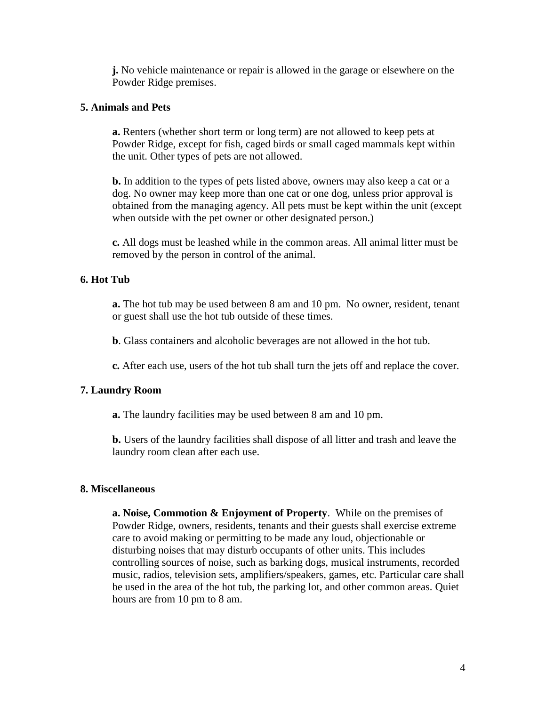**j.** No vehicle maintenance or repair is allowed in the garage or elsewhere on the Powder Ridge premises.

## **5. Animals and Pets**

**a.** Renters (whether short term or long term) are not allowed to keep pets at Powder Ridge, except for fish, caged birds or small caged mammals kept within the unit. Other types of pets are not allowed.

**b.** In addition to the types of pets listed above, owners may also keep a cat or a dog. No owner may keep more than one cat or one dog, unless prior approval is obtained from the managing agency. All pets must be kept within the unit (except when outside with the pet owner or other designated person.)

**c.** All dogs must be leashed while in the common areas. All animal litter must be removed by the person in control of the animal.

## **6. Hot Tub**

**a.** The hot tub may be used between 8 am and 10 pm. No owner, resident, tenant or guest shall use the hot tub outside of these times.

**b**. Glass containers and alcoholic beverages are not allowed in the hot tub.

**c.** After each use, users of the hot tub shall turn the jets off and replace the cover.

## **7. Laundry Room**

**a.** The laundry facilities may be used between 8 am and 10 pm.

**b.** Users of the laundry facilities shall dispose of all litter and trash and leave the laundry room clean after each use.

#### **8. Miscellaneous**

**a. Noise, Commotion & Enjoyment of Property**. While on the premises of Powder Ridge, owners, residents, tenants and their guests shall exercise extreme care to avoid making or permitting to be made any loud, objectionable or disturbing noises that may disturb occupants of other units. This includes controlling sources of noise, such as barking dogs, musical instruments, recorded music, radios, television sets, amplifiers/speakers, games, etc. Particular care shall be used in the area of the hot tub, the parking lot, and other common areas. Quiet hours are from 10 pm to 8 am.